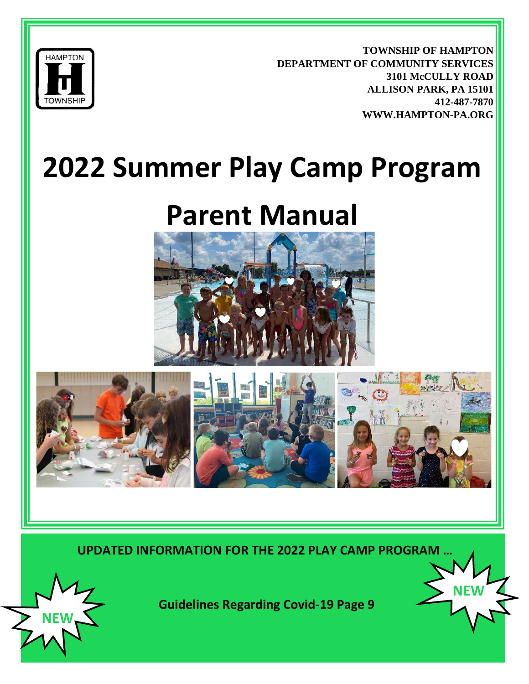

**TOWNSHIP OF HAMPTON DEPARTMENT OF COMMUNITY SERVICES 3101 McCULLY ROAD ALLISON PARK, PA 15101 412-487-7870 WWW.HAMPTON-PA.ORG**

**NEW** 

# **2022 Summer Play Camp Program**

# **Parent Manual**





**UPDATED INFORMATION FOR THE 2022 PLAY CAMP PROGRAM …**

**NEW**

 **Guidelines Regarding Covid-19 Page 9**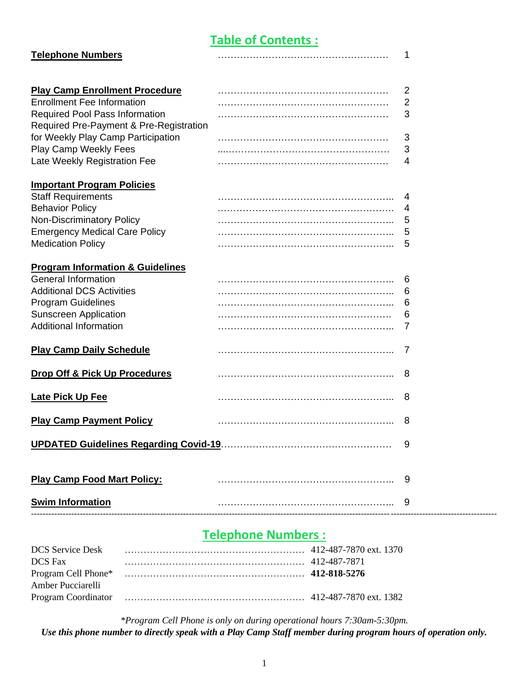## **Table of Contents :**

| <b>Telephone Numbers</b>                    | 1              |
|---------------------------------------------|----------------|
|                                             |                |
| <b>Play Camp Enrollment Procedure</b>       | $\overline{2}$ |
| <b>Enrollment Fee Information</b>           | $\overline{2}$ |
| <b>Required Pool Pass Information</b>       | 3              |
| Required Pre-Payment & Pre-Registration     |                |
| for Weekly Play Camp Participation          | 3              |
| Play Camp Weekly Fees                       | 3              |
| Late Weekly Registration Fee                | 4              |
| <b>Important Program Policies</b>           |                |
| <b>Staff Requirements</b>                   | 4              |
| <b>Behavior Policy</b>                      | 4              |
| <b>Non-Discriminatory Policy</b>            | 5              |
| <b>Emergency Medical Care Policy</b>        | 5              |
| <b>Medication Policy</b>                    | 5              |
| <b>Program Information &amp; Guidelines</b> |                |
| <b>General Information</b>                  | 6              |
| <b>Additional DCS Activities</b>            | 6              |
| <b>Program Guidelines</b>                   | 6              |
| <b>Sunscreen Application</b>                | 6              |
| <b>Additional Information</b>               | 7              |
| <b>Play Camp Daily Schedule</b>             | 7              |
| Drop Off & Pick Up Procedures               | 8              |
| <b>Late Pick Up Fee</b>                     | 8              |
| <b>Play Camp Payment Policy</b>             | 8              |
|                                             | 9              |
| <b>Play Camp Food Mart Policy:</b>          | 9              |
| <b>Swim Information</b>                     | 9              |

## **Telephone Numbers :**

------------------------------------------------------------------------------------------------------------------------------------------------------------------

| <b>DCS</b> Fax    |  |
|-------------------|--|
|                   |  |
| Amber Pucciarelli |  |
|                   |  |

*\*Program Cell Phone is only on during operational hours 7:30am-5:30pm. Use this phone number to directly speak with a Play Camp Staff member during program hours of operation only.*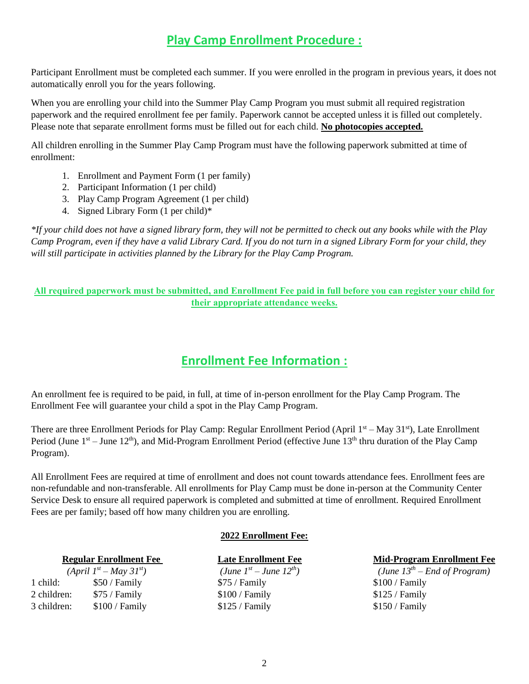## **Play Camp Enrollment Procedure :**

Participant Enrollment must be completed each summer. If you were enrolled in the program in previous years, it does not automatically enroll you for the years following.

When you are enrolling your child into the Summer Play Camp Program you must submit all required registration paperwork and the required enrollment fee per family. Paperwork cannot be accepted unless it is filled out completely. Please note that separate enrollment forms must be filled out for each child. **No photocopies accepted.**

All children enrolling in the Summer Play Camp Program must have the following paperwork submitted at time of enrollment:

- 1. Enrollment and Payment Form (1 per family)
- 2. Participant Information (1 per child)
- 3. Play Camp Program Agreement (1 per child)
- 4. Signed Library Form (1 per child)\*

*\*If your child does not have a signed library form, they will not be permitted to check out any books while with the Play Camp Program, even if they have a valid Library Card. If you do not turn in a signed Library Form for your child, they will still participate in activities planned by the Library for the Play Camp Program.* 

#### **All required paperwork must be submitted, and Enrollment Fee paid in full before you can register your child for their appropriate attendance weeks.**

## **Enrollment Fee Information :**

An enrollment fee is required to be paid, in full, at time of in-person enrollment for the Play Camp Program. The Enrollment Fee will guarantee your child a spot in the Play Camp Program.

There are three Enrollment Periods for Play Camp: Regular Enrollment Period (April  $1<sup>st</sup> - May 31<sup>st</sup>$ ), Late Enrollment Period (June  $1<sup>st</sup>$  – June 12<sup>th</sup>), and Mid-Program Enrollment Period (effective June  $13<sup>th</sup>$  thru duration of the Play Camp Program).

All Enrollment Fees are required at time of enrollment and does not count towards attendance fees. Enrollment fees are non-refundable and non-transferable. All enrollments for Play Camp must be done in-person at the Community Center Service Desk to ensure all required paperwork is completed and submitted at time of enrollment. Required Enrollment Fees are per family; based off how many children you are enrolling.

#### **2022 Enrollment Fee:**

 $(April \; I^{st} - May \; 3I^{st})$  (June 1<sup>*st*</sup>) 1 child: \$50 / Family \$75 / Family \$100 / Family 2 children: \$75 / Family \$100 / Family \$100 / Family \$125 / Family 3 children: \$100 / Family \$125 / Family \$150 / Family

 $(June I^{st} - June I2^{th})$ 

#### **Regular Enrollment Fee Late Enrollment Fee Mid-Program Enrollment Fee**

*– End of Program)*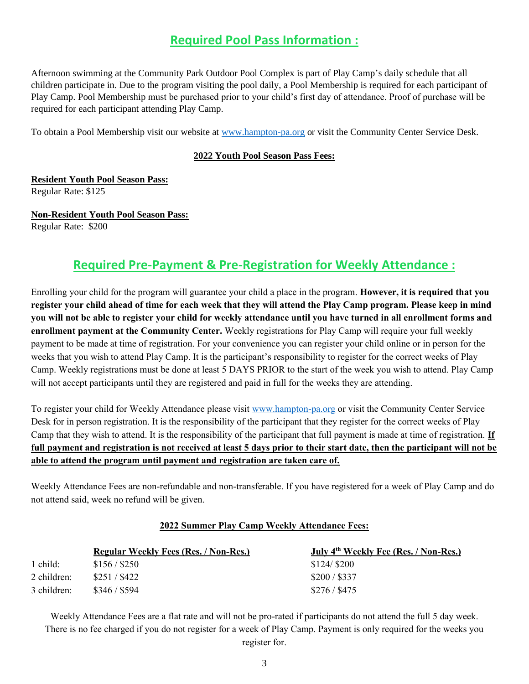## **Required Pool Pass Information :**

Afternoon swimming at the Community Park Outdoor Pool Complex is part of Play Camp's daily schedule that all children participate in. Due to the program visiting the pool daily, a Pool Membership is required for each participant of Play Camp. Pool Membership must be purchased prior to your child's first day of attendance. Proof of purchase will be required for each participant attending Play Camp.

To obtain a Pool Membership visit our website at [www.hampton-pa.org](http://www.hampton-pa.org/) or visit the Community Center Service Desk.

#### **2022 Youth Pool Season Pass Fees:**

**Resident Youth Pool Season Pass:** 

Regular Rate: \$125

**Non-Resident Youth Pool Season Pass:**  Regular Rate: \$200

## **Required Pre-Payment & Pre-Registration for Weekly Attendance :**

Enrolling your child for the program will guarantee your child a place in the program. **However, it is required that you register your child ahead of time for each week that they will attend the Play Camp program. Please keep in mind you will not be able to register your child for weekly attendance until you have turned in all enrollment forms and enrollment payment at the Community Center.** Weekly registrations for Play Camp will require your full weekly payment to be made at time of registration. For your convenience you can register your child online or in person for the weeks that you wish to attend Play Camp. It is the participant's responsibility to register for the correct weeks of Play Camp. Weekly registrations must be done at least 5 DAYS PRIOR to the start of the week you wish to attend. Play Camp will not accept participants until they are registered and paid in full for the weeks they are attending.

To register your child for Weekly Attendance please visit [www.hampton-pa.org](http://www.hampton-pa.org/) or visit the Community Center Service Desk for in person registration. It is the responsibility of the participant that they register for the correct weeks of Play Camp that they wish to attend. It is the responsibility of the participant that full payment is made at time of registration. **If full payment and registration is not received at least 5 days prior to their start date, then the participant will not be able to attend the program until payment and registration are taken care of.** 

Weekly Attendance Fees are non-refundable and non-transferable. If you have registered for a week of Play Camp and do not attend said, week no refund will be given.

#### **2022 Summer Play Camp Weekly Attendance Fees:**

|             | <b>Regular Weekly Fees (Res. / Non-Res.)</b> | July 4 <sup>th</sup> Weekly Fee (Res. / Non-Res.) |
|-------------|----------------------------------------------|---------------------------------------------------|
| 1 child:    | \$156 / \$250                                | \$124/\$200                                       |
| 2 children: | \$251 / \$422                                | \$200 / \$337                                     |
| 3 children: | \$346 / \$594                                | \$276 / \$475                                     |

Weekly Attendance Fees are a flat rate and will not be pro-rated if participants do not attend the full 5 day week. There is no fee charged if you do not register for a week of Play Camp. Payment is only required for the weeks you register for.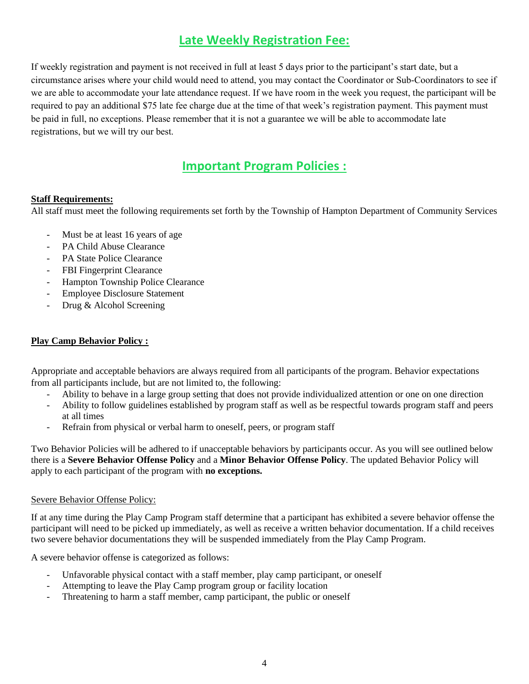## **Late Weekly Registration Fee:**

If weekly registration and payment is not received in full at least 5 days prior to the participant's start date, but a circumstance arises where your child would need to attend, you may contact the Coordinator or Sub-Coordinators to see if we are able to accommodate your late attendance request. If we have room in the week you request, the participant will be required to pay an additional \$75 late fee charge due at the time of that week's registration payment. This payment must be paid in full, no exceptions. Please remember that it is not a guarantee we will be able to accommodate late registrations, but we will try our best.

## **Important Program Policies :**

#### **Staff Requirements:**

All staff must meet the following requirements set forth by the Township of Hampton Department of Community Services

- Must be at least 16 years of age
- PA Child Abuse Clearance
- PA State Police Clearance
- FBI Fingerprint Clearance
- Hampton Township Police Clearance
- Employee Disclosure Statement
- Drug & Alcohol Screening

#### **Play Camp Behavior Policy :**

Appropriate and acceptable behaviors are always required from all participants of the program. Behavior expectations from all participants include, but are not limited to, the following:

- Ability to behave in a large group setting that does not provide individualized attention or one on one direction
- Ability to follow guidelines established by program staff as well as be respectful towards program staff and peers at all times
- Refrain from physical or verbal harm to oneself, peers, or program staff

Two Behavior Policies will be adhered to if unacceptable behaviors by participants occur. As you will see outlined below there is a **Severe Behavior Offense Policy** and a **Minor Behavior Offense Policy**. The updated Behavior Policy will apply to each participant of the program with **no exceptions.** 

#### Severe Behavior Offense Policy:

If at any time during the Play Camp Program staff determine that a participant has exhibited a severe behavior offense the participant will need to be picked up immediately, as well as receive a written behavior documentation. If a child receives two severe behavior documentations they will be suspended immediately from the Play Camp Program.

A severe behavior offense is categorized as follows:

- Unfavorable physical contact with a staff member, play camp participant, or oneself
- Attempting to leave the Play Camp program group or facility location
- Threatening to harm a staff member, camp participant, the public or oneself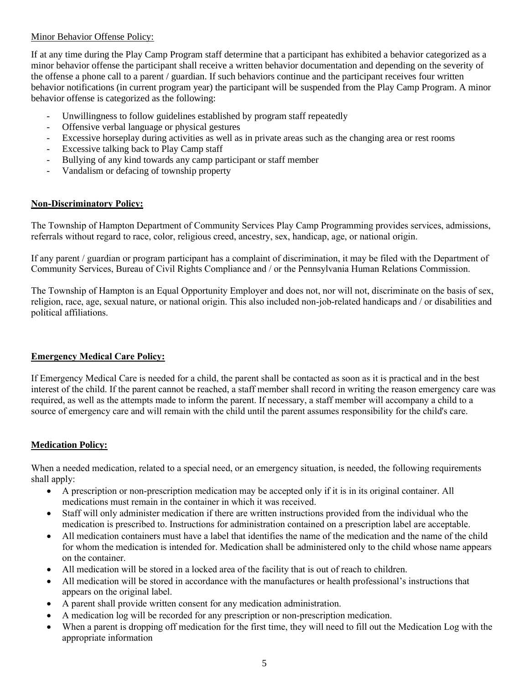#### Minor Behavior Offense Policy:

If at any time during the Play Camp Program staff determine that a participant has exhibited a behavior categorized as a minor behavior offense the participant shall receive a written behavior documentation and depending on the severity of the offense a phone call to a parent / guardian. If such behaviors continue and the participant receives four written behavior notifications (in current program year) the participant will be suspended from the Play Camp Program. A minor behavior offense is categorized as the following:

- Unwillingness to follow guidelines established by program staff repeatedly
- Offensive verbal language or physical gestures
- Excessive horseplay during activities as well as in private areas such as the changing area or rest rooms
- Excessive talking back to Play Camp staff
- Bullying of any kind towards any camp participant or staff member
- Vandalism or defacing of township property

#### **Non-Discriminatory Policy:**

The Township of Hampton Department of Community Services Play Camp Programming provides services, admissions, referrals without regard to race, color, religious creed, ancestry, sex, handicap, age, or national origin.

If any parent / guardian or program participant has a complaint of discrimination, it may be filed with the Department of Community Services, Bureau of Civil Rights Compliance and / or the Pennsylvania Human Relations Commission.

The Township of Hampton is an Equal Opportunity Employer and does not, nor will not, discriminate on the basis of sex, religion, race, age, sexual nature, or national origin. This also included non-job-related handicaps and / or disabilities and political affiliations.

#### **Emergency Medical Care Policy:**

If Emergency Medical Care is needed for a child, the parent shall be contacted as soon as it is practical and in the best interest of the child. If the parent cannot be reached, a staff member shall record in writing the reason emergency care was required, as well as the attempts made to inform the parent. If necessary, a staff member will accompany a child to a source of emergency care and will remain with the child until the parent assumes responsibility for the child's care.

#### **Medication Policy:**

When a needed medication, related to a special need, or an emergency situation, is needed, the following requirements shall apply:

- A prescription or non-prescription medication may be accepted only if it is in its original container. All medications must remain in the container in which it was received.
- Staff will only administer medication if there are written instructions provided from the individual who the medication is prescribed to. Instructions for administration contained on a prescription label are acceptable.
- All medication containers must have a label that identifies the name of the medication and the name of the child for whom the medication is intended for. Medication shall be administered only to the child whose name appears on the container.
- All medication will be stored in a locked area of the facility that is out of reach to children.
- All medication will be stored in accordance with the manufactures or health professional's instructions that appears on the original label.
- A parent shall provide written consent for any medication administration.
- A medication log will be recorded for any prescription or non-prescription medication.
- When a parent is dropping off medication for the first time, they will need to fill out the Medication Log with the appropriate information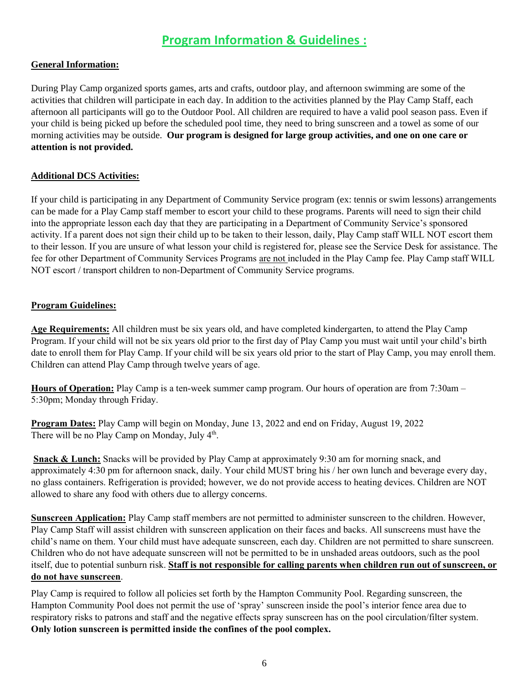## **Program Information & Guidelines :**

### **General Information:**

During Play Camp organized sports games, arts and crafts, outdoor play, and afternoon swimming are some of the activities that children will participate in each day. In addition to the activities planned by the Play Camp Staff, each afternoon all participants will go to the Outdoor Pool. All children are required to have a valid pool season pass. Even if your child is being picked up before the scheduled pool time, they need to bring sunscreen and a towel as some of our morning activities may be outside. **Our program is designed for large group activities, and one on one care or attention is not provided.**

### **Additional DCS Activities:**

If your child is participating in any Department of Community Service program (ex: tennis or swim lessons) arrangements can be made for a Play Camp staff member to escort your child to these programs. Parents will need to sign their child into the appropriate lesson each day that they are participating in a Department of Community Service's sponsored activity. If a parent does not sign their child up to be taken to their lesson, daily, Play Camp staff WILL NOT escort them to their lesson. If you are unsure of what lesson your child is registered for, please see the Service Desk for assistance. The fee for other Department of Community Services Programs are not included in the Play Camp fee. Play Camp staff WILL NOT escort / transport children to non-Department of Community Service programs.

#### **Program Guidelines:**

**Age Requirements:** All children must be six years old, and have completed kindergarten, to attend the Play Camp Program. If your child will not be six years old prior to the first day of Play Camp you must wait until your child's birth date to enroll them for Play Camp. If your child will be six years old prior to the start of Play Camp, you may enroll them. Children can attend Play Camp through twelve years of age.

**Hours of Operation:** Play Camp is a ten-week summer camp program. Our hours of operation are from 7:30am – 5:30pm; Monday through Friday.

**Program Dates:** Play Camp will begin on Monday, June 13, 2022 and end on Friday, August 19, 2022 There will be no Play Camp on Monday, July  $4<sup>th</sup>$ .

**Snack & Lunch:** Snacks will be provided by Play Camp at approximately 9:30 am for morning snack, and approximately 4:30 pm for afternoon snack, daily. Your child MUST bring his / her own lunch and beverage every day, no glass containers. Refrigeration is provided; however, we do not provide access to heating devices. Children are NOT allowed to share any food with others due to allergy concerns.

**Sunscreen Application:** Play Camp staff members are not permitted to administer sunscreen to the children. However, Play Camp Staff will assist children with sunscreen application on their faces and backs. All sunscreens must have the child's name on them. Your child must have adequate sunscreen, each day. Children are not permitted to share sunscreen. Children who do not have adequate sunscreen will not be permitted to be in unshaded areas outdoors, such as the pool itself, due to potential sunburn risk. **Staff is not responsible for calling parents when children run out of sunscreen, or do not have sunscreen**.

Play Camp is required to follow all policies set forth by the Hampton Community Pool. Regarding sunscreen, the Hampton Community Pool does not permit the use of 'spray' sunscreen inside the pool's interior fence area due to respiratory risks to patrons and staff and the negative effects spray sunscreen has on the pool circulation/filter system. **Only lotion sunscreen is permitted inside the confines of the pool complex.**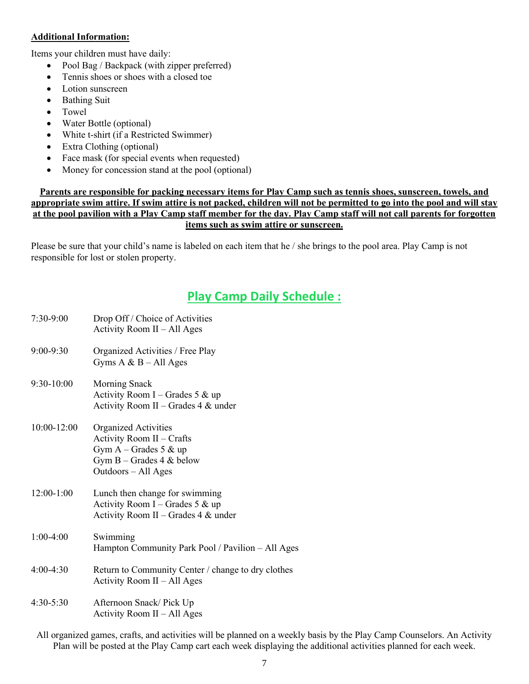#### **Additional Information:**

Items your children must have daily:

- Pool Bag / Backpack (with zipper preferred)
- Tennis shoes or shoes with a closed toe
- Lotion sunscreen
- Bathing Suit
- Towel
- Water Bottle (optional)
- White t-shirt (if a Restricted Swimmer)
- Extra Clothing (optional)
- Face mask (for special events when requested)
- Money for concession stand at the pool (optional)

#### **Parents are responsible for packing necessary items for Play Camp such as tennis shoes, sunscreen, towels, and appropriate swim attire. If swim attire is not packed, children will not be permitted to go into the pool and will stay at the pool pavilion with a Play Camp staff member for the day. Play Camp staff will not call parents for forgotten items such as swim attire or sunscreen.**

Please be sure that your child's name is labeled on each item that he / she brings to the pool area. Play Camp is not responsible for lost or stolen property.

## **Play Camp Daily Schedule :**

| $7:30-9:00$     | Drop Off / Choice of Activities<br>Activity Room $II - All Ages$                                                                         |
|-----------------|------------------------------------------------------------------------------------------------------------------------------------------|
| $9:00-9:30$     | Organized Activities / Free Play<br>Gyms $A & B - All Ages$                                                                              |
| $9:30-10:00$    | Morning Snack<br>Activity Room I – Grades 5 & up<br>Activity Room II – Grades 4 & under                                                  |
| $10:00 - 12:00$ | <b>Organized Activities</b><br>Activity Room II - Crafts<br>Gym $A -$ Grades 5 & up<br>Gym $B -$ Grades 4 & below<br>Outdoors – All Ages |
| $12:00-1:00$    | Lunch then change for swimming<br>Activity Room I – Grades 5 & up<br>Activity Room II - Grades $4 \&$ under                              |
| $1:00-4:00$     | Swimming<br>Hampton Community Park Pool / Pavilion - All Ages                                                                            |
| $4:00-4:30$     | Return to Community Center / change to dry clothes<br>Activity Room II – All Ages                                                        |
| $4:30-5:30$     | Afternoon Snack/Pick Up<br>Activity Room II - All Ages                                                                                   |

All organized games, crafts, and activities will be planned on a weekly basis by the Play Camp Counselors. An Activity Plan will be posted at the Play Camp cart each week displaying the additional activities planned for each week.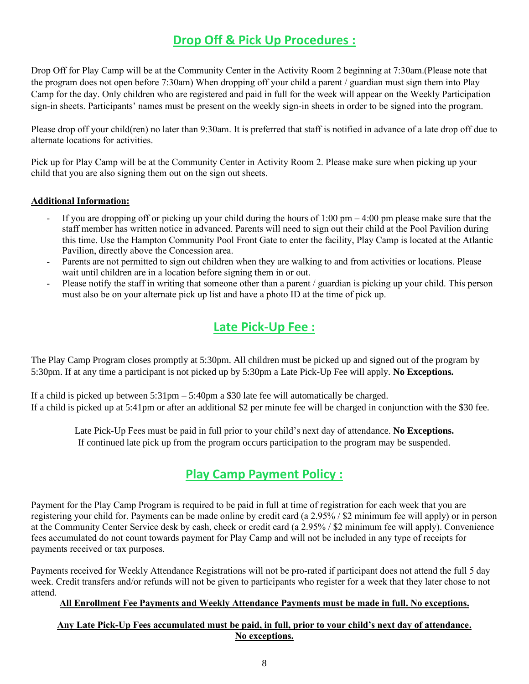## **Drop Off & Pick Up Procedures :**

Drop Off for Play Camp will be at the Community Center in the Activity Room 2 beginning at 7:30am.(Please note that the program does not open before 7:30am) When dropping off your child a parent / guardian must sign them into Play Camp for the day. Only children who are registered and paid in full for the week will appear on the Weekly Participation sign-in sheets. Participants' names must be present on the weekly sign-in sheets in order to be signed into the program.

Please drop off your child(ren) no later than 9:30am. It is preferred that staff is notified in advance of a late drop off due to alternate locations for activities.

Pick up for Play Camp will be at the Community Center in Activity Room 2. Please make sure when picking up your child that you are also signing them out on the sign out sheets.

#### **Additional Information:**

- If you are dropping off or picking up your child during the hours of  $1:00 \text{ pm} 4:00 \text{ pm}$  please make sure that the staff member has written notice in advanced. Parents will need to sign out their child at the Pool Pavilion during this time. Use the Hampton Community Pool Front Gate to enter the facility, Play Camp is located at the Atlantic Pavilion, directly above the Concession area.
- Parents are not permitted to sign out children when they are walking to and from activities or locations. Please wait until children are in a location before signing them in or out.
- Please notify the staff in writing that someone other than a parent / guardian is picking up your child. This person must also be on your alternate pick up list and have a photo ID at the time of pick up.

## **Late Pick-Up Fee :**

The Play Camp Program closes promptly at 5:30pm. All children must be picked up and signed out of the program by 5:30pm. If at any time a participant is not picked up by 5:30pm a Late Pick-Up Fee will apply. **No Exceptions.**

If a child is picked up between  $5:31 \text{pm} - 5:40 \text{pm}$  a \$30 late fee will automatically be charged. If a child is picked up at 5:41pm or after an additional \$2 per minute fee will be charged in conjunction with the \$30 fee.

Late Pick-Up Fees must be paid in full prior to your child's next day of attendance. **No Exceptions.** If continued late pick up from the program occurs participation to the program may be suspended.

## **Play Camp Payment Policy :**

Payment for the Play Camp Program is required to be paid in full at time of registration for each week that you are registering your child for. Payments can be made online by credit card (a 2.95% / \$2 minimum fee will apply) or in person at the Community Center Service desk by cash, check or credit card (a 2.95% / \$2 minimum fee will apply). Convenience fees accumulated do not count towards payment for Play Camp and will not be included in any type of receipts for payments received or tax purposes.

Payments received for Weekly Attendance Registrations will not be pro-rated if participant does not attend the full 5 day week. Credit transfers and/or refunds will not be given to participants who register for a week that they later chose to not attend.

#### **All Enrollment Fee Payments and Weekly Attendance Payments must be made in full. No exceptions.**

#### **Any Late Pick-Up Fees accumulated must be paid, in full, prior to your child's next day of attendance. No exceptions.**